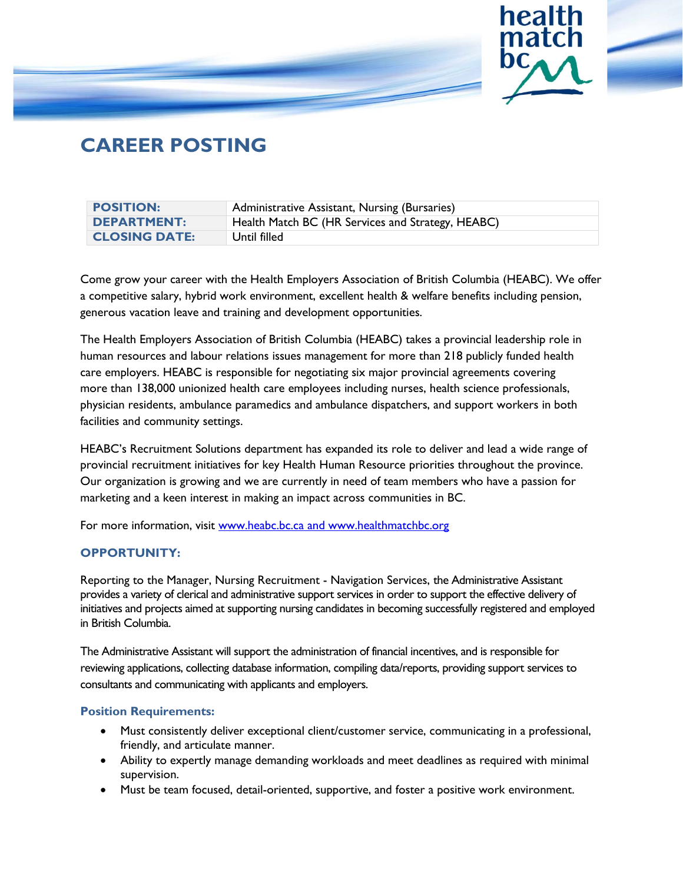

# **CAREER POSTING**

| <b>POSITION:</b>     | Administrative Assistant, Nursing (Bursaries)     |
|----------------------|---------------------------------------------------|
| <b>DEPARTMENT:</b>   | Health Match BC (HR Services and Strategy, HEABC) |
| <b>CLOSING DATE:</b> | Until filled                                      |

Come grow your career with the Health Employers Association of British Columbia (HEABC). We offer a competitive salary, hybrid work environment, excellent health & welfare benefits including pension, generous vacation leave and training and development opportunities.

The Health Employers Association of British Columbia (HEABC) takes a provincial leadership role in human resources and labour relations issues management for more than 218 publicly funded health care employers. HEABC is responsible for negotiating six major provincial agreements covering more than 138,000 unionized health care employees including nurses, health science professionals, physician residents, ambulance paramedics and ambulance dispatchers, and support workers in both facilities and community settings.

HEABC's Recruitment Solutions department has expanded its role to deliver and lead a wide range of provincial recruitment initiatives for key Health Human Resource priorities throughout the province. Our organization is growing and we are currently in need of team members who have a passion for marketing and a keen interest in making an impact across communities in BC.

For more information, visit [www.heabc.bc.ca](http://www.heabc.bc.ca/) and [www.healthmatchbc.org](http://www.healthmatchbc.org/)

# **OPPORTUNITY:**

Reporting to the Manager, Nursing Recruitment - Navigation Services, the Administrative Assistant provides a variety of clerical and administrative support services in order to support the effective delivery of initiatives and projects aimed at supporting nursing candidates in becoming successfully registered and employed in British Columbia.

The Administrative Assistant will support the administration of financial incentives, and is responsible for reviewing applications, collecting database information, compiling data/reports, providing support services to consultants and communicating with applicants and employers.

## **Position Requirements:**

- Must consistently deliver exceptional client/customer service, communicating in a professional, friendly, and articulate manner.
- Ability to expertly manage demanding workloads and meet deadlines as required with minimal supervision.
- Must be team focused, detail-oriented, supportive, and foster a positive work environment.